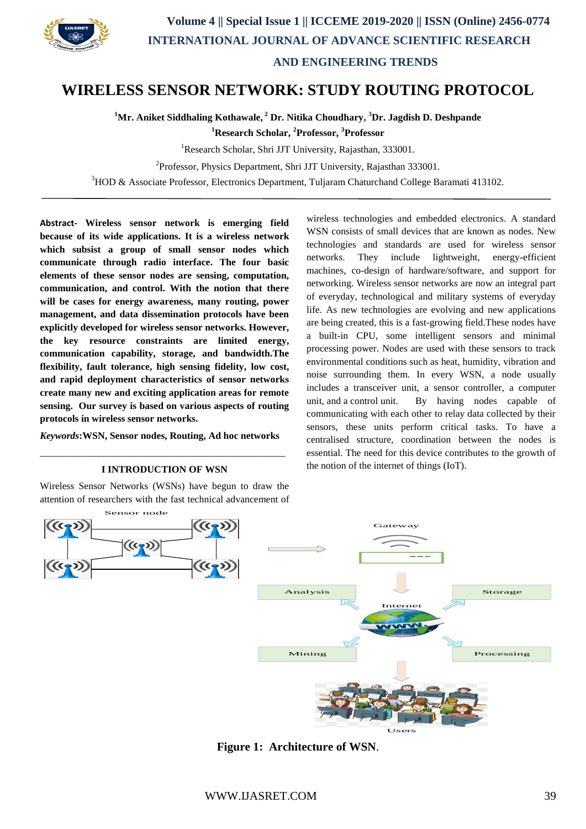

## **WIRELESS SENSOR NETWORK: STUDY ROUTING PROTOCOL**

**<sup>1</sup>Mr. Aniket Siddhaling Kothawale, <sup>2</sup> Dr. Nitika Choudhary, <sup>3</sup>Dr. Jagdish D. Deshpande**

**<sup>1</sup>Research Scholar, <sup>2</sup>Professor, <sup>3</sup>Professor**

<sup>1</sup>Research Scholar, Shri JJT University, Rajasthan, 333001.

<sup>2</sup>Professor, Physics Department, Shri JJT University, Rajasthan 333001.

<sup>3</sup>HOD & Associate Professor, Electronics Department, Tuljaram Chaturchand College Baramati 413102.

**Abstract- Wireless sensor network is emerging field because of its wide applications. It is a wireless network which subsist a group of small sensor nodes which communicate through radio interface. The four basic elements of these sensor nodes are sensing, computation, communication, and control. With the notion that there will be cases for energy awareness, many routing, power management, and data dissemination protocols have been explicitly developed for wireless sensor networks. However, the key resource constraints are limited energy, communication capability, storage, and bandwidth.The flexibility, fault tolerance, high sensing fidelity, low cost, and rapid deployment characteristics of sensor networks create many new and exciting application areas for remote sensing. Our survey is based on various aspects of routing protocols in wireless sensor networks.**

*Keywords***:WSN, Sensor nodes, Routing, Ad hoc networks** \_\_\_\_\_\_\_\_\_\_\_\_\_\_\_\_\_\_\_\_\_\_\_\_\_\_\_\_\_\_\_\_\_\_\_\_\_\_\_\_\_\_\_\_\_\_\_\_\_\_

#### **I INTRODUCTION OF WSN**

Wireless Sensor Networks (WSNs) have begun to draw the attention of researchers with the fast technical advancement of wireless technologies and embedded electronics. A standard WSN consists of small devices that are known as nodes. New technologies and standards are used for wireless sensor networks. They include lightweight, energy-efficient machines, co-design of hardware/software, and support for networking. Wireless sensor networks are now an integral part of everyday, technological and military systems of everyday life. As new technologies are evolving and new applications are being created, this is a fast-growing field.These nodes have a built-in CPU, some intelligent sensors and minimal processing power. Nodes are used with these sensors to track environmental conditions such as heat, humidity, vibration and noise surrounding them. In every WSN, a node usually includes a transceiver unit, a sensor controller, a computer unit, and a control unit. By having nodes capable of communicating with each other to relay data collected by their sensors, these units perform critical tasks. To have a centralised structure, coordination between the nodes is essential. The need for this device contributes to the growth of the notion of the internet of things (IoT).



**Figure 1: Architecture of WSN**.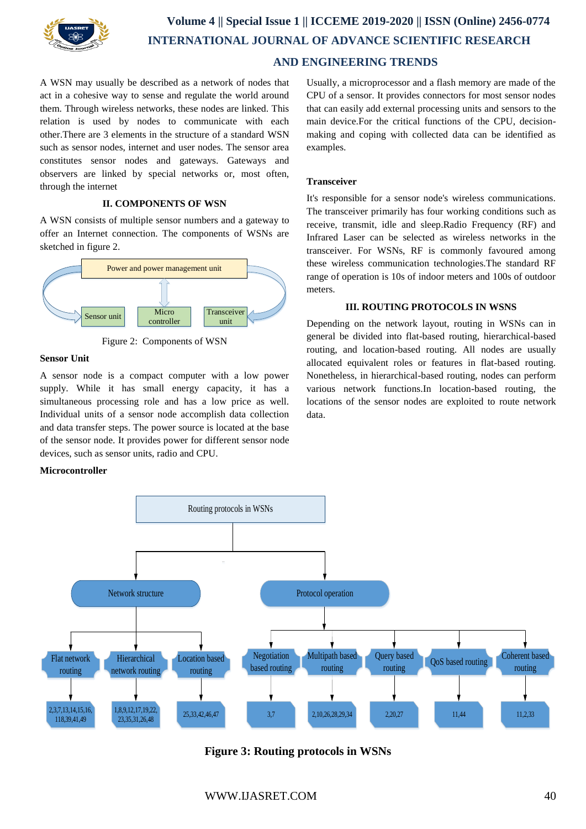

# **Volume 4 || Special Issue 1 || ICCEME 2019-2020 || ISSN (Online) 2456-0774 INTERNATIONAL JOURNAL OF ADVANCE SCIENTIFIC RESEARCH AND ENGINEERING TRENDS**

A WSN may usually be described as a network of nodes that act in a cohesive way to sense and regulate the world around them. Through wireless networks, these nodes are linked. This relation is used by nodes to communicate with each other.There are 3 elements in the structure of a standard WSN such as sensor nodes, internet and user nodes. The sensor area constitutes sensor nodes and gateways. Gateways and observers are linked by special networks or, most often, through the internet

#### **II. COMPONENTS OF WSN**

A WSN consists of multiple sensor numbers and a gateway to offer an Internet connection. The components of WSNs are sketched in figure 2.



Figure 2: Components of WSN

#### **Sensor Unit**

A sensor node is a compact computer with a low power supply. While it has small energy capacity, it has a simultaneous processing role and has a low price as well. Individual units of a sensor node accomplish data collection and data transfer steps. The power source is located at the base of the sensor node. It provides power for different sensor node devices, such as sensor units, radio and CPU.

#### **Microcontroller**

Usually, a microprocessor and a flash memory are made of the CPU of a sensor. It provides connectors for most sensor nodes that can easily add external processing units and sensors to the main device.For the critical functions of the CPU, decisionmaking and coping with collected data can be identified as examples.

#### **Transceiver**

It's responsible for a sensor node's wireless communications. The transceiver primarily has four working conditions such as receive, transmit, idle and sleep.Radio Frequency (RF) and Infrared Laser can be selected as wireless networks in the transceiver. For WSNs, RF is commonly favoured among these wireless communication technologies.The standard RF range of operation is 10s of indoor meters and 100s of outdoor meters.

#### **III. ROUTING PROTOCOLS IN WSNS**

Depending on the network layout, routing in WSNs can in general be divided into flat-based routing, hierarchical-based routing, and location-based routing. All nodes are usually allocated equivalent roles or features in flat-based routing. Nonetheless, in hierarchical-based routing, nodes can perform various network functions.In location-based routing, the locations of the sensor nodes are exploited to route network data.



**Figure 3: Routing protocols in WSNs**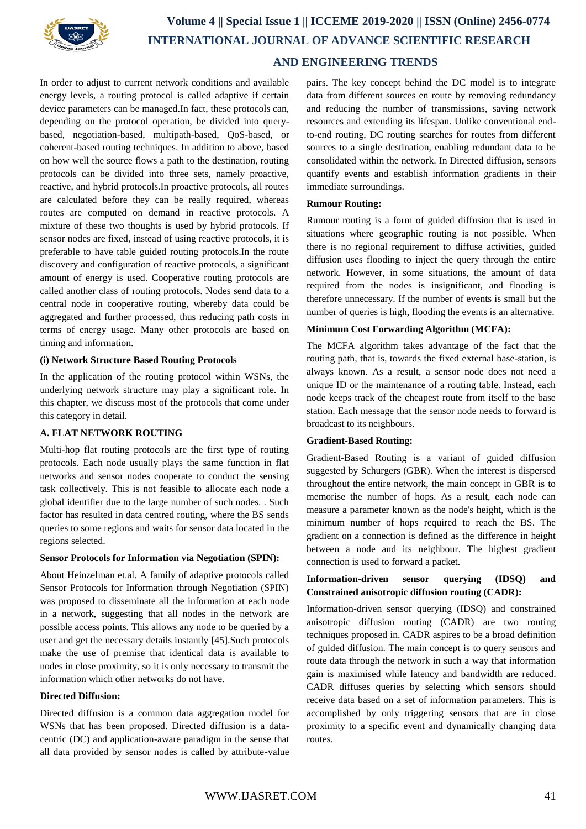

# **Volume 4 || Special Issue 1 || ICCEME 2019-2020 || ISSN (Online) 2456-0774 INTERNATIONAL JOURNAL OF ADVANCE SCIENTIFIC RESEARCH AND ENGINEERING TRENDS**

In order to adjust to current network conditions and available energy levels, a routing protocol is called adaptive if certain device parameters can be managed.In fact, these protocols can, depending on the protocol operation, be divided into querybased, negotiation-based, multipath-based, QoS-based, or coherent-based routing techniques. In addition to above, based on how well the source flows a path to the destination, routing protocols can be divided into three sets, namely proactive, reactive, and hybrid protocols.In proactive protocols, all routes are calculated before they can be really required, whereas routes are computed on demand in reactive protocols. A mixture of these two thoughts is used by hybrid protocols. If sensor nodes are fixed, instead of using reactive protocols, it is preferable to have table guided routing protocols.In the route discovery and configuration of reactive protocols, a significant amount of energy is used. Cooperative routing protocols are called another class of routing protocols. Nodes send data to a central node in cooperative routing, whereby data could be aggregated and further processed, thus reducing path costs in terms of energy usage. Many other protocols are based on timing and information.

## **(i) Network Structure Based Routing Protocols**

In the application of the routing protocol within WSNs, the underlying network structure may play a significant role. In this chapter, we discuss most of the protocols that come under this category in detail.

## **A. FLAT NETWORK ROUTING**

Multi-hop flat routing protocols are the first type of routing protocols. Each node usually plays the same function in flat networks and sensor nodes cooperate to conduct the sensing task collectively. This is not feasible to allocate each node a global identifier due to the large number of such nodes. . Such factor has resulted in data centred routing, where the BS sends queries to some regions and waits for sensor data located in the regions selected.

## **Sensor Protocols for Information via Negotiation (SPIN):**

About Heinzelman et.al. A family of adaptive protocols called Sensor Protocols for Information through Negotiation (SPIN) was proposed to disseminate all the information at each node in a network, suggesting that all nodes in the network are possible access points. This allows any node to be queried by a user and get the necessary details instantly [45].Such protocols make the use of premise that identical data is available to nodes in close proximity, so it is only necessary to transmit the information which other networks do not have.

## **Directed Diffusion:**

Directed diffusion is a common data aggregation model for WSNs that has been proposed. Directed diffusion is a datacentric (DC) and application-aware paradigm in the sense that all data provided by sensor nodes is called by attribute-value

pairs. The key concept behind the DC model is to integrate data from different sources en route by removing redundancy and reducing the number of transmissions, saving network resources and extending its lifespan. Unlike conventional endto-end routing, DC routing searches for routes from different sources to a single destination, enabling redundant data to be consolidated within the network. In Directed diffusion, sensors quantify events and establish information gradients in their immediate surroundings.

#### **Rumour Routing:**

Rumour routing is a form of guided diffusion that is used in situations where geographic routing is not possible. When there is no regional requirement to diffuse activities, guided diffusion uses flooding to inject the query through the entire network. However, in some situations, the amount of data required from the nodes is insignificant, and flooding is therefore unnecessary. If the number of events is small but the number of queries is high, flooding the events is an alternative.

## **Minimum Cost Forwarding Algorithm (MCFA):**

The MCFA algorithm takes advantage of the fact that the routing path, that is, towards the fixed external base-station, is always known. As a result, a sensor node does not need a unique ID or the maintenance of a routing table. Instead, each node keeps track of the cheapest route from itself to the base station. Each message that the sensor node needs to forward is broadcast to its neighbours.

## **Gradient-Based Routing:**

Gradient-Based Routing is a variant of guided diffusion suggested by Schurgers (GBR). When the interest is dispersed throughout the entire network, the main concept in GBR is to memorise the number of hops. As a result, each node can measure a parameter known as the node's height, which is the minimum number of hops required to reach the BS. The gradient on a connection is defined as the difference in height between a node and its neighbour. The highest gradient connection is used to forward a packet.

## **Information-driven sensor querying (IDSQ) and Constrained anisotropic diffusion routing (CADR):**

Information-driven sensor querying (IDSQ) and constrained anisotropic diffusion routing (CADR) are two routing techniques proposed in. CADR aspires to be a broad definition of guided diffusion. The main concept is to query sensors and route data through the network in such a way that information gain is maximised while latency and bandwidth are reduced. CADR diffuses queries by selecting which sensors should receive data based on a set of information parameters. This is accomplished by only triggering sensors that are in close proximity to a specific event and dynamically changing data routes.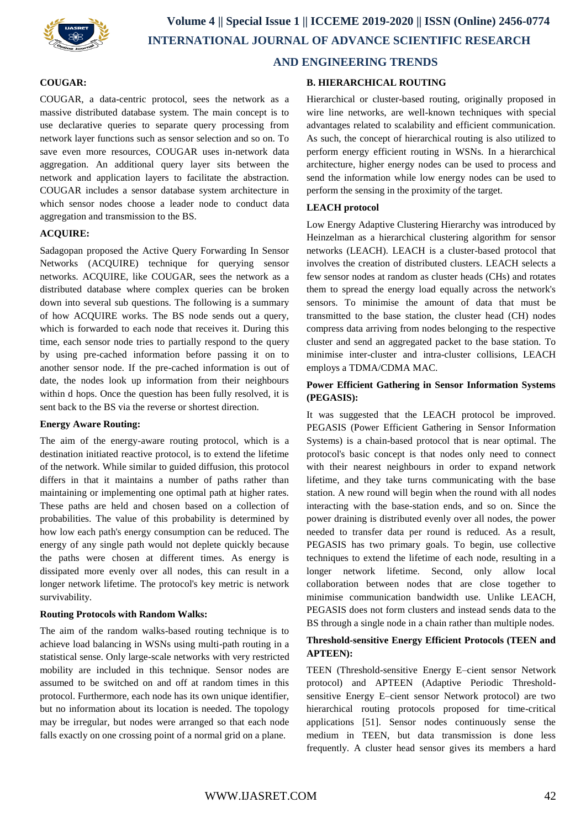

## **COUGAR:**

COUGAR, a data-centric protocol, sees the network as a massive distributed database system. The main concept is to use declarative queries to separate query processing from network layer functions such as sensor selection and so on. To save even more resources, COUGAR uses in-network data aggregation. An additional query layer sits between the network and application layers to facilitate the abstraction. COUGAR includes a sensor database system architecture in which sensor nodes choose a leader node to conduct data aggregation and transmission to the BS.

## **ACQUIRE:**

Sadagopan proposed the Active Query Forwarding In Sensor Networks (ACQUIRE) technique for querying sensor networks. ACQUIRE, like COUGAR, sees the network as a distributed database where complex queries can be broken down into several sub questions. The following is a summary of how ACQUIRE works. The BS node sends out a query, which is forwarded to each node that receives it. During this time, each sensor node tries to partially respond to the query by using pre-cached information before passing it on to another sensor node. If the pre-cached information is out of date, the nodes look up information from their neighbours within d hops. Once the question has been fully resolved, it is sent back to the BS via the reverse or shortest direction.

#### **Energy Aware Routing:**

The aim of the energy-aware routing protocol, which is a destination initiated reactive protocol, is to extend the lifetime of the network. While similar to guided diffusion, this protocol differs in that it maintains a number of paths rather than maintaining or implementing one optimal path at higher rates. These paths are held and chosen based on a collection of probabilities. The value of this probability is determined by how low each path's energy consumption can be reduced. The energy of any single path would not deplete quickly because the paths were chosen at different times. As energy is dissipated more evenly over all nodes, this can result in a longer network lifetime. The protocol's key metric is network survivability.

#### **Routing Protocols with Random Walks:**

The aim of the random walks-based routing technique is to achieve load balancing in WSNs using multi-path routing in a statistical sense. Only large-scale networks with very restricted mobility are included in this technique. Sensor nodes are assumed to be switched on and off at random times in this protocol. Furthermore, each node has its own unique identifier, but no information about its location is needed. The topology may be irregular, but nodes were arranged so that each node falls exactly on one crossing point of a normal grid on a plane.

#### **B. HIERARCHICAL ROUTING**

Hierarchical or cluster-based routing, originally proposed in wire line networks, are well-known techniques with special advantages related to scalability and efficient communication. As such, the concept of hierarchical routing is also utilized to perform energy efficient routing in WSNs. In a hierarchical architecture, higher energy nodes can be used to process and send the information while low energy nodes can be used to perform the sensing in the proximity of the target.

## **LEACH protocol**

Low Energy Adaptive Clustering Hierarchy was introduced by Heinzelman as a hierarchical clustering algorithm for sensor networks (LEACH). LEACH is a cluster-based protocol that involves the creation of distributed clusters. LEACH selects a few sensor nodes at random as cluster heads (CHs) and rotates them to spread the energy load equally across the network's sensors. To minimise the amount of data that must be transmitted to the base station, the cluster head (CH) nodes compress data arriving from nodes belonging to the respective cluster and send an aggregated packet to the base station. To minimise inter-cluster and intra-cluster collisions, LEACH employs a TDMA/CDMA MAC.

## **Power Efficient Gathering in Sensor Information Systems (PEGASIS):**

It was suggested that the LEACH protocol be improved. PEGASIS (Power Efficient Gathering in Sensor Information Systems) is a chain-based protocol that is near optimal. The protocol's basic concept is that nodes only need to connect with their nearest neighbours in order to expand network lifetime, and they take turns communicating with the base station. A new round will begin when the round with all nodes interacting with the base-station ends, and so on. Since the power draining is distributed evenly over all nodes, the power needed to transfer data per round is reduced. As a result, PEGASIS has two primary goals. To begin, use collective techniques to extend the lifetime of each node, resulting in a longer network lifetime. Second, only allow local collaboration between nodes that are close together to minimise communication bandwidth use. Unlike LEACH, PEGASIS does not form clusters and instead sends data to the BS through a single node in a chain rather than multiple nodes.

## **Threshold-sensitive Energy Efficient Protocols (TEEN and APTEEN):**

TEEN (Threshold-sensitive Energy E–cient sensor Network protocol) and APTEEN (Adaptive Periodic Thresholdsensitive Energy E–cient sensor Network protocol) are two hierarchical routing protocols proposed for time-critical applications [51]. Sensor nodes continuously sense the medium in TEEN, but data transmission is done less frequently. A cluster head sensor gives its members a hard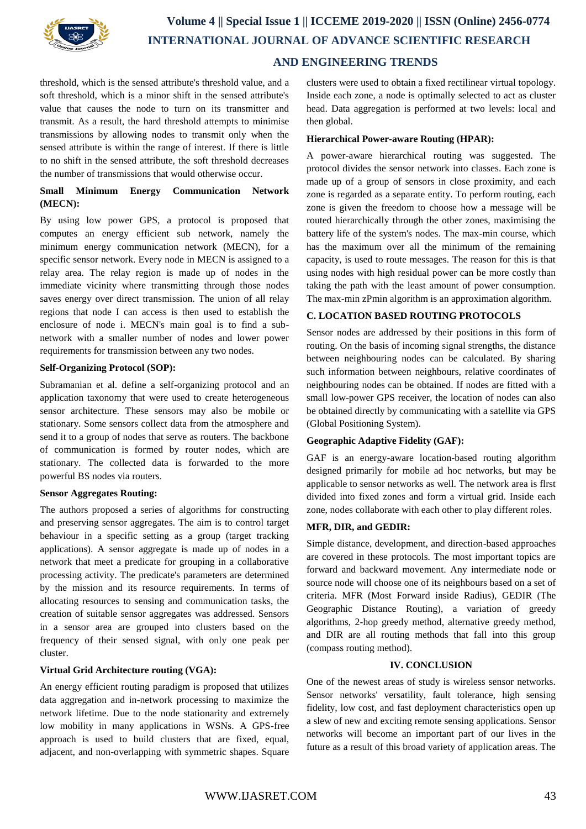

## **Volume 4 || Special Issue 1 || ICCEME 2019-2020 || ISSN (Online) 2456-0774 INTERNATIONAL JOURNAL OF ADVANCE SCIENTIFIC RESEARCH AND ENGINEERING TRENDS**

threshold, which is the sensed attribute's threshold value, and a soft threshold, which is a minor shift in the sensed attribute's value that causes the node to turn on its transmitter and transmit. As a result, the hard threshold attempts to minimise transmissions by allowing nodes to transmit only when the sensed attribute is within the range of interest. If there is little to no shift in the sensed attribute, the soft threshold decreases the number of transmissions that would otherwise occur.

## **Small Minimum Energy Communication Network (MECN):**

By using low power GPS, a protocol is proposed that computes an energy efficient sub network, namely the minimum energy communication network (MECN), for a specific sensor network. Every node in MECN is assigned to a relay area. The relay region is made up of nodes in the immediate vicinity where transmitting through those nodes saves energy over direct transmission. The union of all relay regions that node I can access is then used to establish the enclosure of node i. MECN's main goal is to find a subnetwork with a smaller number of nodes and lower power requirements for transmission between any two nodes.

## **Self-Organizing Protocol (SOP):**

Subramanian et al. define a self-organizing protocol and an application taxonomy that were used to create heterogeneous sensor architecture. These sensors may also be mobile or stationary. Some sensors collect data from the atmosphere and send it to a group of nodes that serve as routers. The backbone of communication is formed by router nodes, which are stationary. The collected data is forwarded to the more powerful BS nodes via routers.

## **Sensor Aggregates Routing:**

The authors proposed a series of algorithms for constructing and preserving sensor aggregates. The aim is to control target behaviour in a specific setting as a group (target tracking applications). A sensor aggregate is made up of nodes in a network that meet a predicate for grouping in a collaborative processing activity. The predicate's parameters are determined by the mission and its resource requirements. In terms of allocating resources to sensing and communication tasks, the creation of suitable sensor aggregates was addressed. Sensors in a sensor area are grouped into clusters based on the frequency of their sensed signal, with only one peak per cluster.

## **Virtual Grid Architecture routing (VGA):**

An energy efficient routing paradigm is proposed that utilizes data aggregation and in-network processing to maximize the network lifetime. Due to the node stationarity and extremely low mobility in many applications in WSNs. A GPS-free approach is used to build clusters that are fixed, equal, adiacent, and non-overlapping with symmetric shapes. Square clusters were used to obtain a fixed rectilinear virtual topology. Inside each zone, a node is optimally selected to act as cluster head. Data aggregation is performed at two levels: local and then global.

#### **Hierarchical Power-aware Routing (HPAR):**

A power-aware hierarchical routing was suggested. The protocol divides the sensor network into classes. Each zone is made up of a group of sensors in close proximity, and each zone is regarded as a separate entity. To perform routing, each zone is given the freedom to choose how a message will be routed hierarchically through the other zones, maximising the battery life of the system's nodes. The max-min course, which has the maximum over all the minimum of the remaining capacity, is used to route messages. The reason for this is that using nodes with high residual power can be more costly than taking the path with the least amount of power consumption. The max-min zPmin algorithm is an approximation algorithm.

## **C. LOCATION BASED ROUTING PROTOCOLS**

Sensor nodes are addressed by their positions in this form of routing. On the basis of incoming signal strengths, the distance between neighbouring nodes can be calculated. By sharing such information between neighbours, relative coordinates of neighbouring nodes can be obtained. If nodes are fitted with a small low-power GPS receiver, the location of nodes can also be obtained directly by communicating with a satellite via GPS (Global Positioning System).

## **Geographic Adaptive Fidelity (GAF):**

GAF is an energy-aware location-based routing algorithm designed primarily for mobile ad hoc networks, but may be applicable to sensor networks as well. The network area is flrst divided into fixed zones and form a virtual grid. Inside each zone, nodes collaborate with each other to play different roles.

#### **MFR, DIR, and GEDIR:**

Simple distance, development, and direction-based approaches are covered in these protocols. The most important topics are forward and backward movement. Any intermediate node or source node will choose one of its neighbours based on a set of criteria. MFR (Most Forward inside Radius), GEDIR (The Geographic Distance Routing), a variation of greedy algorithms, 2-hop greedy method, alternative greedy method, and DIR are all routing methods that fall into this group (compass routing method).

#### **IV. CONCLUSION**

One of the newest areas of study is wireless sensor networks. Sensor networks' versatility, fault tolerance, high sensing fidelity, low cost, and fast deployment characteristics open up a slew of new and exciting remote sensing applications. Sensor networks will become an important part of our lives in the future as a result of this broad variety of application areas. The